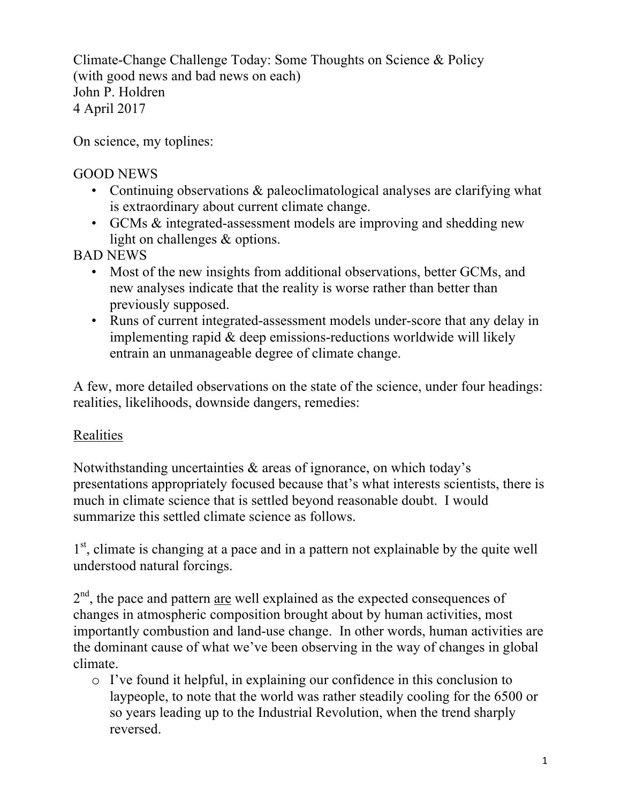Climate-Change Challenge Today: Some Thoughts on Science & Policy (with good news and bad news on each) John P. Holdren 4 April 2017

On science, my toplines:

#### GOOD NEWS

- Continuing observations & paleoclimatological analyses are clarifying what is extraordinary about current climate change.
- GCMs & integrated-assessment models are improving and shedding new light on challenges & options.

BAD NEWS

- Most of the new insights from additional observations, better GCMs, and new analyses indicate that the reality is worse rather than better than previously supposed.
- Runs of current integrated-assessment models under-score that any delay in implementing rapid & deep emissions-reductions worldwide will likely entrain an unmanageable degree of climate change.

A few, more detailed observations on the state of the science, under four headings: realities, likelihoods, downside dangers, remedies:

#### Realities

Notwithstanding uncertainties & areas of ignorance, on which today's presentations appropriately focused because that's what interests scientists, there is much in climate science that is settled beyond reasonable doubt. I would summarize this settled climate science as follows.

1<sup>st</sup>, climate is changing at a pace and in a pattern not explainable by the quite well understood natural forcings.

 $2<sup>nd</sup>$ , the pace and pattern are well explained as the expected consequences of changes in atmospheric composition brought about by human activities, most importantly combustion and land-use change. In other words, human activities are the dominant cause of what we've been observing in the way of changes in global climate.

o I've found it helpful, in explaining our confidence in this conclusion to laypeople, to note that the world was rather steadily cooling for the 6500 or so years leading up to the Industrial Revolution, when the trend sharply reversed.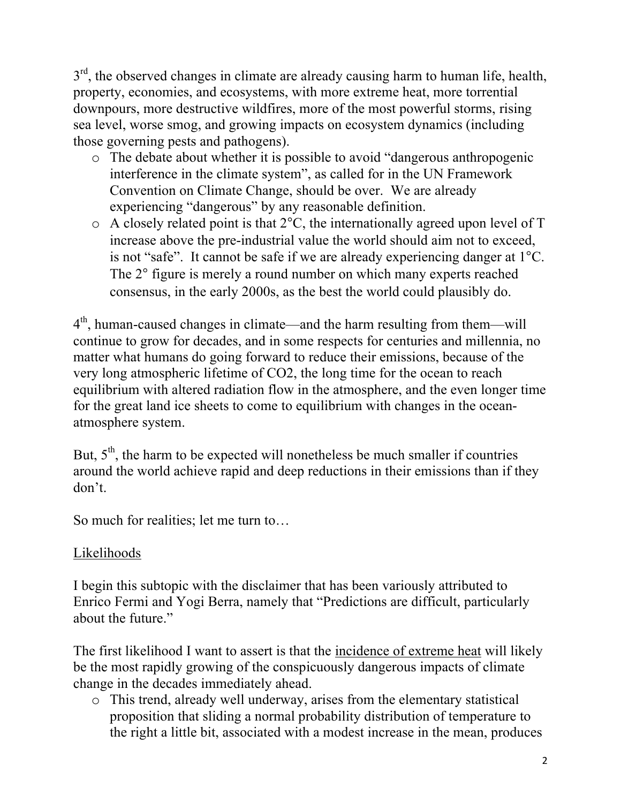$3<sup>rd</sup>$ , the observed changes in climate are already causing harm to human life, health, property, economies, and ecosystems, with more extreme heat, more torrential downpours, more destructive wildfires, more of the most powerful storms, rising sea level, worse smog, and growing impacts on ecosystem dynamics (including those governing pests and pathogens).

- o The debate about whether it is possible to avoid "dangerous anthropogenic interference in the climate system", as called for in the UN Framework Convention on Climate Change, should be over. We are already experiencing "dangerous" by any reasonable definition.
- o A closely related point is that 2°C, the internationally agreed upon level of T increase above the pre-industrial value the world should aim not to exceed, is not "safe". It cannot be safe if we are already experiencing danger at 1°C. The 2° figure is merely a round number on which many experts reached consensus, in the early 2000s, as the best the world could plausibly do.

4th, human-caused changes in climate—and the harm resulting from them—will continue to grow for decades, and in some respects for centuries and millennia, no matter what humans do going forward to reduce their emissions, because of the very long atmospheric lifetime of CO2, the long time for the ocean to reach equilibrium with altered radiation flow in the atmosphere, and the even longer time for the great land ice sheets to come to equilibrium with changes in the oceanatmosphere system.

But,  $5<sup>th</sup>$ , the harm to be expected will nonetheless be much smaller if countries around the world achieve rapid and deep reductions in their emissions than if they don't.

So much for realities; let me turn to…

## Likelihoods

I begin this subtopic with the disclaimer that has been variously attributed to Enrico Fermi and Yogi Berra, namely that "Predictions are difficult, particularly about the future."

The first likelihood I want to assert is that the incidence of extreme heat will likely be the most rapidly growing of the conspicuously dangerous impacts of climate change in the decades immediately ahead.

o This trend, already well underway, arises from the elementary statistical proposition that sliding a normal probability distribution of temperature to the right a little bit, associated with a modest increase in the mean, produces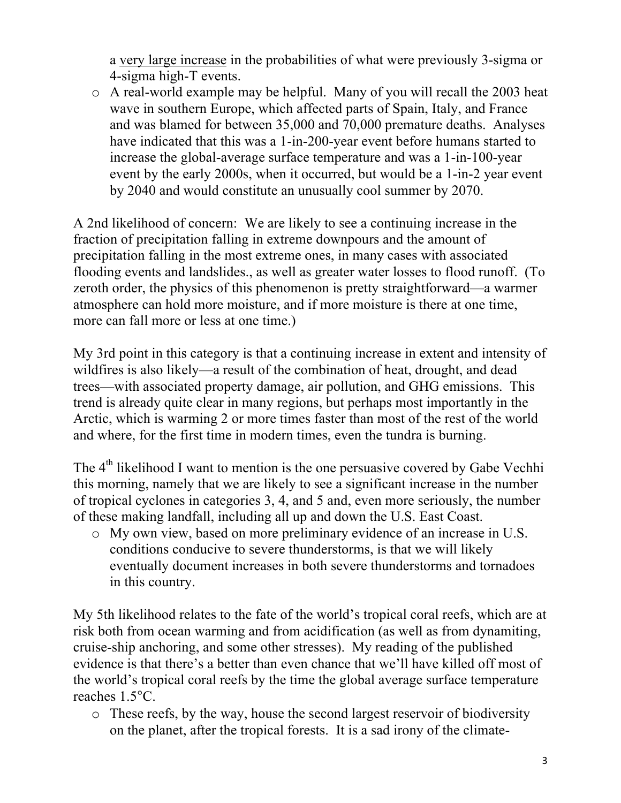a very large increase in the probabilities of what were previously 3-sigma or 4-sigma high-T events.

o A real-world example may be helpful. Many of you will recall the 2003 heat wave in southern Europe, which affected parts of Spain, Italy, and France and was blamed for between 35,000 and 70,000 premature deaths. Analyses have indicated that this was a 1-in-200-year event before humans started to increase the global-average surface temperature and was a 1-in-100-year event by the early 2000s, when it occurred, but would be a 1-in-2 year event by 2040 and would constitute an unusually cool summer by 2070.

A 2nd likelihood of concern: We are likely to see a continuing increase in the fraction of precipitation falling in extreme downpours and the amount of precipitation falling in the most extreme ones, in many cases with associated flooding events and landslides., as well as greater water losses to flood runoff. (To zeroth order, the physics of this phenomenon is pretty straightforward—a warmer atmosphere can hold more moisture, and if more moisture is there at one time, more can fall more or less at one time.)

My 3rd point in this category is that a continuing increase in extent and intensity of wildfires is also likely—a result of the combination of heat, drought, and dead trees—with associated property damage, air pollution, and GHG emissions. This trend is already quite clear in many regions, but perhaps most importantly in the Arctic, which is warming 2 or more times faster than most of the rest of the world and where, for the first time in modern times, even the tundra is burning.

The 4<sup>th</sup> likelihood I want to mention is the one persuasive covered by Gabe Vechhi this morning, namely that we are likely to see a significant increase in the number of tropical cyclones in categories 3, 4, and 5 and, even more seriously, the number of these making landfall, including all up and down the U.S. East Coast.

o My own view, based on more preliminary evidence of an increase in U.S. conditions conducive to severe thunderstorms, is that we will likely eventually document increases in both severe thunderstorms and tornadoes in this country.

My 5th likelihood relates to the fate of the world's tropical coral reefs, which are at risk both from ocean warming and from acidification (as well as from dynamiting, cruise-ship anchoring, and some other stresses). My reading of the published evidence is that there's a better than even chance that we'll have killed off most of the world's tropical coral reefs by the time the global average surface temperature reaches 1.5°C.

o These reefs, by the way, house the second largest reservoir of biodiversity on the planet, after the tropical forests. It is a sad irony of the climate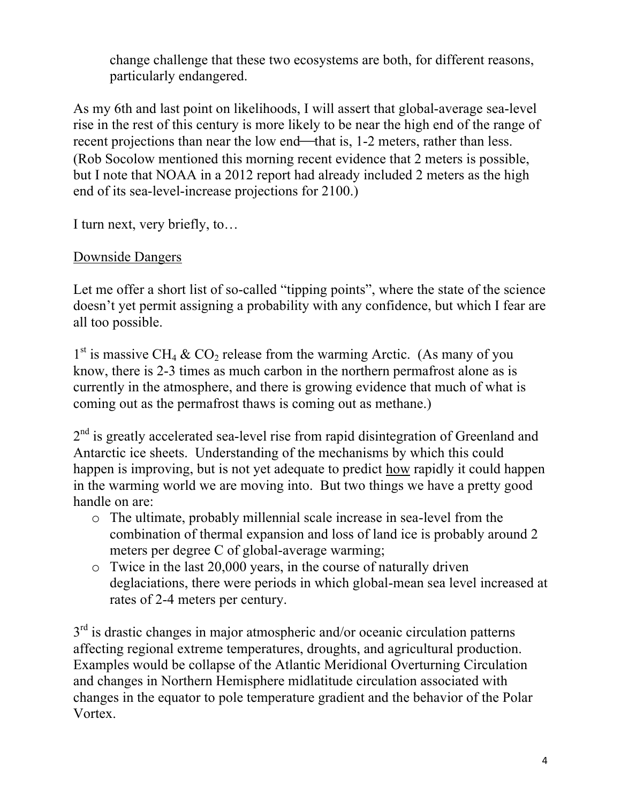change challenge that these two ecosystems are both, for different reasons, particularly endangered.

As my 6th and last point on likelihoods, I will assert that global-average sea-level rise in the rest of this century is more likely to be near the high end of the range of recent projections than near the low end—that is, 1-2 meters, rather than less. (Rob Socolow mentioned this morning recent evidence that 2 meters is possible, but I note that NOAA in a 2012 report had already included 2 meters as the high end of its sea-level-increase projections for 2100.)

I turn next, very briefly, to…

#### Downside Dangers

Let me offer a short list of so-called "tipping points", where the state of the science doesn't yet permit assigning a probability with any confidence, but which I fear are all too possible.

 $1<sup>st</sup>$  is massive CH<sub>4</sub> & CO<sub>2</sub> release from the warming Arctic. (As many of you know, there is 2-3 times as much carbon in the northern permafrost alone as is currently in the atmosphere, and there is growing evidence that much of what is coming out as the permafrost thaws is coming out as methane.)

 $2<sup>nd</sup>$  is greatly accelerated sea-level rise from rapid disintegration of Greenland and Antarctic ice sheets. Understanding of the mechanisms by which this could happen is improving, but is not yet adequate to predict how rapidly it could happen in the warming world we are moving into. But two things we have a pretty good handle on are:

- o The ultimate, probably millennial scale increase in sea-level from the combination of thermal expansion and loss of land ice is probably around 2 meters per degree C of global-average warming;
- o Twice in the last 20,000 years, in the course of naturally driven deglaciations, there were periods in which global-mean sea level increased at rates of 2-4 meters per century.

 $3<sup>rd</sup>$  is drastic changes in major atmospheric and/or oceanic circulation patterns affecting regional extreme temperatures, droughts, and agricultural production. Examples would be collapse of the Atlantic Meridional Overturning Circulation and changes in Northern Hemisphere midlatitude circulation associated with changes in the equator to pole temperature gradient and the behavior of the Polar Vortex.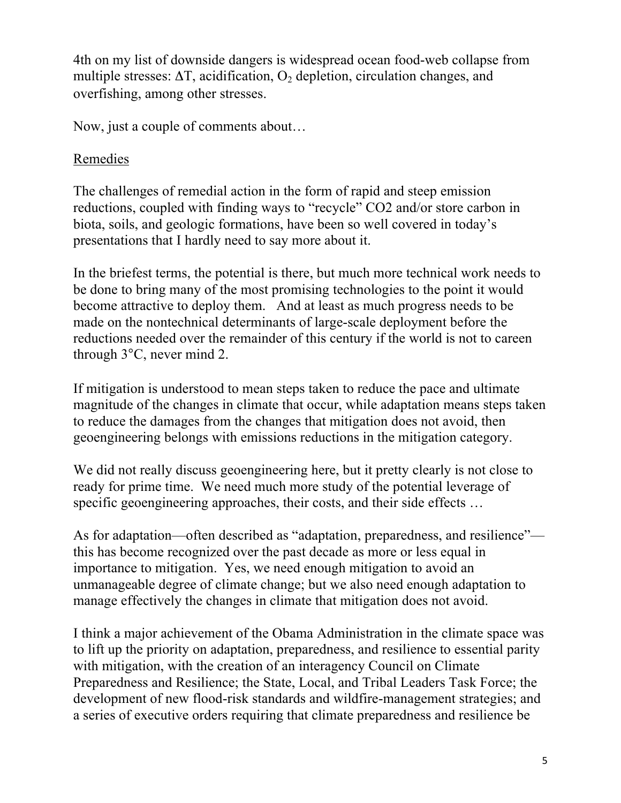4th on my list of downside dangers is widespread ocean food-web collapse from multiple stresses:  $\Delta T$ , acidification,  $O_2$  depletion, circulation changes, and overfishing, among other stresses.

Now, just a couple of comments about…

## Remedies

The challenges of remedial action in the form of rapid and steep emission reductions, coupled with finding ways to "recycle" CO2 and/or store carbon in biota, soils, and geologic formations, have been so well covered in today's presentations that I hardly need to say more about it.

In the briefest terms, the potential is there, but much more technical work needs to be done to bring many of the most promising technologies to the point it would become attractive to deploy them. And at least as much progress needs to be made on the nontechnical determinants of large-scale deployment before the reductions needed over the remainder of this century if the world is not to careen through 3°C, never mind 2.

If mitigation is understood to mean steps taken to reduce the pace and ultimate magnitude of the changes in climate that occur, while adaptation means steps taken to reduce the damages from the changes that mitigation does not avoid, then geoengineering belongs with emissions reductions in the mitigation category.

We did not really discuss geoengineering here, but it pretty clearly is not close to ready for prime time. We need much more study of the potential leverage of specific geoengineering approaches, their costs, and their side effects ...

As for adaptation—often described as "adaptation, preparedness, and resilience" this has become recognized over the past decade as more or less equal in importance to mitigation. Yes, we need enough mitigation to avoid an unmanageable degree of climate change; but we also need enough adaptation to manage effectively the changes in climate that mitigation does not avoid.

I think a major achievement of the Obama Administration in the climate space was to lift up the priority on adaptation, preparedness, and resilience to essential parity with mitigation, with the creation of an interagency Council on Climate Preparedness and Resilience; the State, Local, and Tribal Leaders Task Force; the development of new flood-risk standards and wildfire-management strategies; and a series of executive orders requiring that climate preparedness and resilience be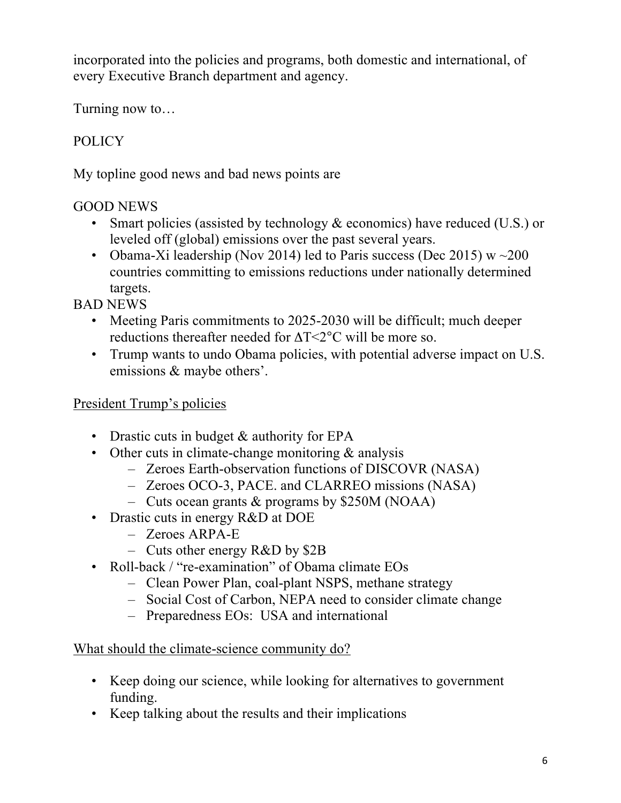incorporated into the policies and programs, both domestic and international, of every Executive Branch department and agency.

Turning now to…

# POLICY

My topline good news and bad news points are

## GOOD NEWS

- Smart policies (assisted by technology & economics) have reduced (U.S.) or leveled off (global) emissions over the past several years.
- Obama-Xi leadership (Nov 2014) led to Paris success (Dec 2015)  $w \sim 200$ countries committing to emissions reductions under nationally determined targets.

BAD NEWS

- Meeting Paris commitments to 2025-2030 will be difficult; much deeper reductions thereafter needed for ΔT<2°C will be more so.
- Trump wants to undo Obama policies, with potential adverse impact on U.S. emissions & maybe others'.

## President Trump's policies

- Drastic cuts in budget & authority for EPA
- Other cuts in climate-change monitoring & analysis
	- Zeroes Earth-observation functions of DISCOVR (NASA)
	- Zeroes OCO-3, PACE. and CLARREO missions (NASA)
	- Cuts ocean grants & programs by \$250M (NOAA)
- Drastic cuts in energy R&D at DOE
	- Zeroes ARPA-E
	- Cuts other energy R&D by \$2B
- Roll-back / "re-examination" of Obama climate EOs
	- Clean Power Plan, coal-plant NSPS, methane strategy
	- Social Cost of Carbon, NEPA need to consider climate change
	- Preparedness EOs: USA and international

#### What should the climate-science community do?

- Keep doing our science, while looking for alternatives to government funding.
- Keep talking about the results and their implications